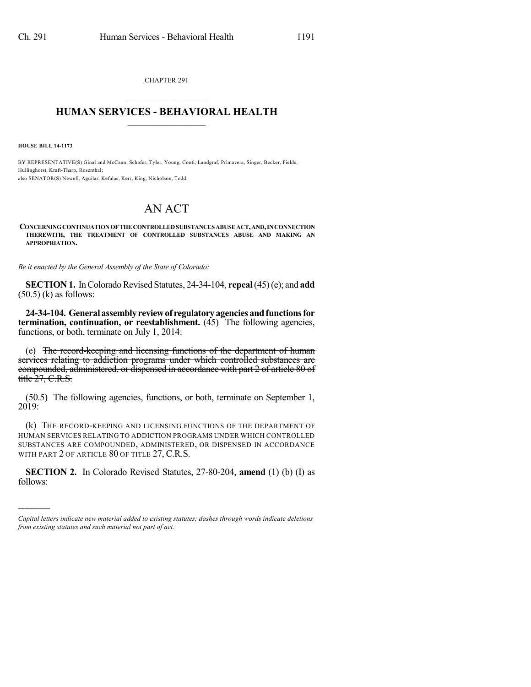CHAPTER 291  $\overline{\phantom{a}}$  . The set of the set of the set of the set of the set of the set of the set of the set of the set of the set of the set of the set of the set of the set of the set of the set of the set of the set of the set o

## **HUMAN SERVICES - BEHAVIORAL HEALTH**  $\frac{1}{2}$  ,  $\frac{1}{2}$  ,  $\frac{1}{2}$  ,  $\frac{1}{2}$  ,  $\frac{1}{2}$  ,  $\frac{1}{2}$  ,  $\frac{1}{2}$

**HOUSE BILL 14-1173**

)))))

BY REPRESENTATIVE(S) Ginal and McCann, Schafer, Tyler, Young, Conti, Landgraf, Primavera, Singer, Becker, Fields, Hullinghorst, Kraft-Tharp, Rosenthal; also SENATOR(S) Newell, Aguilar, Kefalas, Kerr, King, Nicholson, Todd.

## AN ACT

**CONCERNINGCONTINUATIONOFTHECONTROLLEDSUBSTANCES ABUSEACT,AND,INCONNECTION THEREWITH, THE TREATMENT OF CONTROLLED SUBSTANCES ABUSE AND MAKING AN APPROPRIATION.**

*Be it enacted by the General Assembly of the State of Colorado:*

**SECTION 1.** In Colorado Revised Statutes, 24-34-104, **repeal** (45)(e); and **add**  $(50.5)$  (k) as follows:

**24-34-104. Generalassemblyreviewof regulatoryagenciesandfunctionsfor termination, continuation, or reestablishment.** (45) The following agencies, functions, or both, terminate on July 1, 2014:

(e) The record-keeping and licensing functions of the department of human services relating to addiction programs under which controlled substances are compounded, administered, or dispensed in accordance with part 2 of article 80 of title 27, C.R.S.

(50.5) The following agencies, functions, or both, terminate on September 1, 2019:

(k) THE RECORD-KEEPING AND LICENSING FUNCTIONS OF THE DEPARTMENT OF HUMAN SERVICES RELATING TO ADDICTION PROGRAMS UNDER WHICH CONTROLLED SUBSTANCES ARE COMPOUNDED, ADMINISTERED, OR DISPENSED IN ACCORDANCE WITH PART 2 OF ARTICLE 80 OF TITLE 27, C.R.S.

**SECTION 2.** In Colorado Revised Statutes, 27-80-204, **amend** (1) (b) (I) as follows:

*Capital letters indicate new material added to existing statutes; dashes through words indicate deletions from existing statutes and such material not part of act.*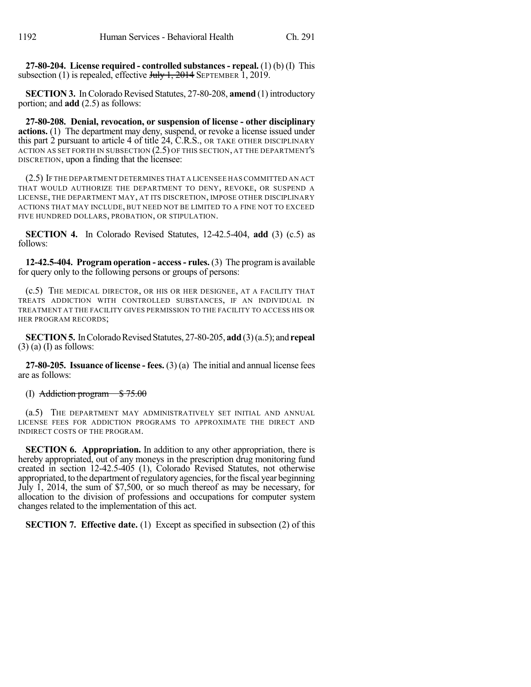**27-80-204. License required - controlled substances- repeal.** (1) (b) (I) This subsection (1) is repealed, effective  $J_{\text{t}}$   $\rightarrow$  1, 2014 SEPTEMBER 1, 2019.

**SECTION 3.** In Colorado Revised Statutes, 27-80-208, **amend** (1) introductory portion; and **add** (2.5) as follows:

**27-80-208. Denial, revocation, or suspension of license - other disciplinary actions.** (1) The department may deny, suspend, or revoke a license issued under this part 2 pursuant to article 4 of title 24, C.R.S., OR TAKE OTHER DISCIPLINARY ACTION AS SET FORTH IN SUBSECTION (2.5) OF THIS SECTION, AT THE DEPARTMENT'S DISCRETION, upon a finding that the licensee:

(2.5) IF THE DEPARTMENT DETERMINES THAT A LICENSEE HAS COMMITTED AN ACT THAT WOULD AUTHORIZE THE DEPARTMENT TO DENY, REVOKE, OR SUSPEND A LICENSE, THE DEPARTMENT MAY, AT ITS DISCRETION, IMPOSE OTHER DISCIPLINARY ACTIONS THAT MAY INCLUDE, BUT NEED NOT BE LIMITED TO A FINE NOT TO EXCEED FIVE HUNDRED DOLLARS, PROBATION, OR STIPULATION.

**SECTION 4.** In Colorado Revised Statutes, 12-42.5-404, **add** (3) (c.5) as follows:

**12-42.5-404. Program operation - access- rules.** (3) The programis available for query only to the following persons or groups of persons:

(c.5) THE MEDICAL DIRECTOR, OR HIS OR HER DESIGNEE, AT A FACILITY THAT TREATS ADDICTION WITH CONTROLLED SUBSTANCES, IF AN INDIVIDUAL IN TREATMENT AT THE FACILITY GIVES PERMISSION TO THE FACILITY TO ACCESS HIS OR HER PROGRAM RECORDS;

**SECTION 5.** In Colorado Revised Statutes, 27-80-205, add (3)(a.5); and **repeal**  $(3)$  (a) (I) as follows:

**27-80-205. Issuance of license - fees.** (3) (a) The initial and annual license fees are as follows:

(I) Addiction program  $$75.00$ 

(a.5) THE DEPARTMENT MAY ADMINISTRATIVELY SET INITIAL AND ANNUAL LICENSE FEES FOR ADDICTION PROGRAMS TO APPROXIMATE THE DIRECT AND INDIRECT COSTS OF THE PROGRAM.

**SECTION 6. Appropriation.** In addition to any other appropriation, there is hereby appropriated, out of any moneys in the prescription drug monitoring fund created in section 12-42.5-405 (1), Colorado Revised Statutes, not otherwise appropriated, to the department of regulatory agencies, for the fiscal year beginning July 1, 2014, the sum of \$7,500, or so much thereof as may be necessary, for allocation to the division of professions and occupations for computer system changes related to the implementation of this act.

**SECTION 7. Effective date.** (1) Except as specified in subsection (2) of this